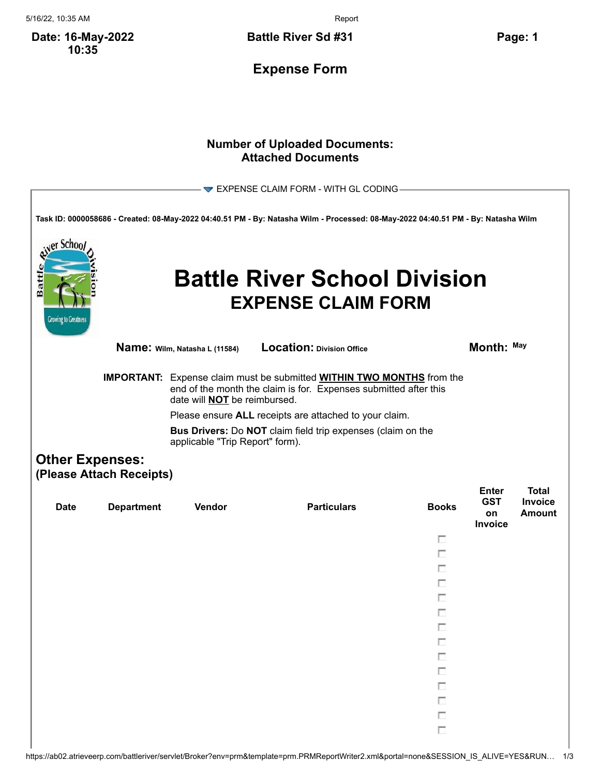5/16/22, 10:35 AM Report

**Date: 16-May-2022 10:35**

**Battle River Sd #31 Page: 1**

**Expense Form**

## **Number of Uploaded Documents: Attached Documents**

| er Schoo <i>l</i><br>Battl<br><b>Growing to Greatness</b> |                                                                         |                                                                        | EXPENSE CLAIM FORM - WITH GL CODING<br>Task ID: 0000058686 - Created: 08-May-2022 04:40.51 PM - By: Natasha Wilm - Processed: 08-May-2022 04:40.51 PM - By: Natasha Wilm<br><b>Battle River School Division</b><br><b>EXPENSE CLAIM FORM</b>                                                   |                                      |                                             |                                          |
|-----------------------------------------------------------|-------------------------------------------------------------------------|------------------------------------------------------------------------|------------------------------------------------------------------------------------------------------------------------------------------------------------------------------------------------------------------------------------------------------------------------------------------------|--------------------------------------|---------------------------------------------|------------------------------------------|
|                                                           |                                                                         | Name: Wilm, Natasha L (11584)                                          | <b>Location: Division Office</b>                                                                                                                                                                                                                                                               |                                      | Month: May                                  |                                          |
|                                                           |                                                                         | date will <b>NOT</b> be reimbursed.<br>applicable "Trip Report" form). | <b>IMPORTANT:</b> Expense claim must be submitted <b>WITHIN TWO MONTHS</b> from the<br>end of the month the claim is for. Expenses submitted after this<br>Please ensure ALL receipts are attached to your claim.<br><b>Bus Drivers:</b> Do <b>NOT</b> claim field trip expenses (claim on the |                                      |                                             |                                          |
| <b>Date</b>                                               | <b>Other Expenses:</b><br>(Please Attach Receipts)<br><b>Department</b> | Vendor                                                                 | <b>Particulars</b>                                                                                                                                                                                                                                                                             | <b>Books</b>                         | <b>Enter</b><br><b>GST</b><br>on<br>Invoice | <b>Total</b><br>Invoice<br><b>Amount</b> |
|                                                           |                                                                         |                                                                        |                                                                                                                                                                                                                                                                                                | П<br>п<br>П<br>П<br>П<br>П<br>Π      |                                             |                                          |
|                                                           |                                                                         |                                                                        |                                                                                                                                                                                                                                                                                                | Π<br>Π<br>П<br>П<br>П<br>П<br>$\Box$ |                                             |                                          |

https://ab02.atrieveerp.com/battleriver/servlet/Broker?env=prm&template=prm.PRMReportWriter2.xml&portal=none&SESSION\_IS\_ALIVE=YES&RUN… 1/3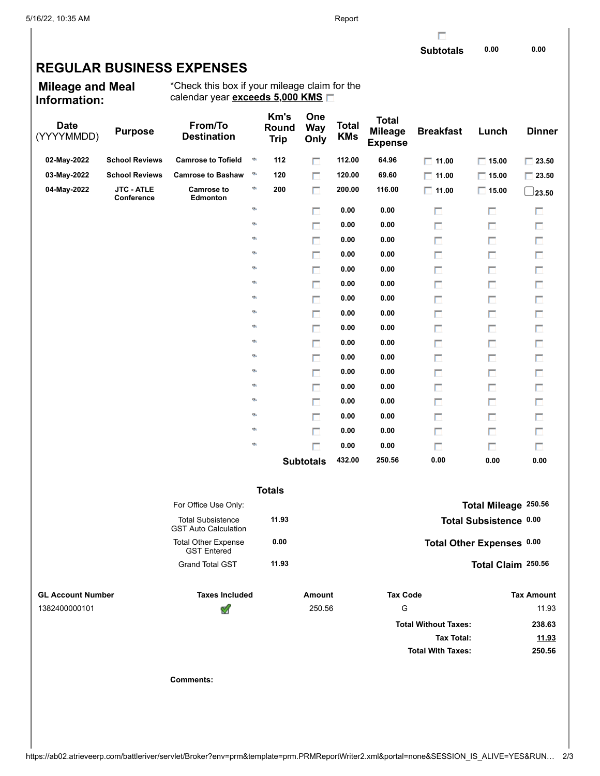г

## **REGULAR BUSINESS EXPENSES**

**Mileage and Meal Information:**

\*Check this box if your mileage claim for the calendar year **exceeds 5,000 KMS**

| <b>Date</b><br>(YYYYMMDD) | <b>Purpose</b>                  | From/To<br><b>Destination</b>                           |   | Km's<br>Round<br><b>Trip</b> | One<br><b>Way</b><br>Only | <b>Total</b><br><b>KMs</b> | <b>Total</b><br><b>Mileage</b><br><b>Expense</b> | <b>Breakfast</b>            | Lunch                     | <b>Dinner</b>               |
|---------------------------|---------------------------------|---------------------------------------------------------|---|------------------------------|---------------------------|----------------------------|--------------------------------------------------|-----------------------------|---------------------------|-----------------------------|
| 02-May-2022               | <b>School Reviews</b>           | <b>Camrose to Tofield</b>                               | Ø | 112                          | П                         | 112.00                     | 64.96                                            | $\Box$ 11.00                | $\Box$ 15.00              | $\boxed{\phantom{0}}$ 23.50 |
| 03-May-2022               | <b>School Reviews</b>           | <b>Camrose to Bashaw</b>                                | Đ | 120                          | П                         | 120.00                     | 69.60                                            | $\Box$ 11.00                | $\Box$ 15.00              | $\Box$ 23.50                |
| 04-May-2022               | <b>JTC - ATLE</b><br>Conference | <b>Camrose to</b><br>Edmonton                           | ø | 200                          | П                         | 200.00                     | 116.00                                           | $\Box$ 11.00                | $\Box$ 15.00              | 23.50                       |
|                           |                                 |                                                         | ø |                              | п                         | 0.00                       | 0.00                                             | п                           | П                         | п                           |
|                           |                                 |                                                         | ø |                              | п                         | 0.00                       | 0.00                                             | П                           | П                         | П                           |
|                           |                                 |                                                         | ø |                              | п                         | 0.00                       | 0.00                                             | П                           | П                         | П                           |
|                           |                                 |                                                         | ø |                              | п                         | 0.00                       | 0.00                                             | П                           | П                         | П                           |
|                           |                                 |                                                         | ø |                              | п                         | 0.00                       | 0.00                                             | п                           | П                         | П                           |
|                           |                                 |                                                         | ø |                              | п                         | 0.00                       | 0.00                                             | П                           | П                         | П                           |
|                           |                                 |                                                         | ø |                              | п                         | 0.00                       | 0.00                                             | П                           | П                         | П                           |
|                           |                                 |                                                         | ø |                              | п                         | 0.00                       | 0.00                                             | П                           | П                         | п                           |
|                           |                                 |                                                         | ø |                              | п                         | 0.00                       | 0.00                                             | п                           | П                         | П                           |
|                           |                                 |                                                         | ø |                              | П                         | 0.00                       | 0.00                                             | П                           | П                         | П                           |
|                           |                                 |                                                         | ø |                              | п                         | 0.00                       | 0.00                                             | П                           | П                         | П                           |
|                           |                                 |                                                         | ø |                              | П                         | 0.00                       | 0.00                                             | П                           | П                         | П                           |
|                           |                                 |                                                         | ø |                              | п                         | 0.00                       | 0.00                                             | П                           | П                         | П                           |
|                           |                                 |                                                         | ø |                              | П                         | 0.00                       | 0.00                                             | П                           | П                         | П                           |
|                           |                                 |                                                         | ø |                              | П                         | 0.00                       | 0.00                                             | П                           | П                         | П                           |
|                           |                                 |                                                         | ø |                              | П                         | 0.00                       | 0.00                                             | П                           | П                         | П                           |
|                           |                                 |                                                         | ø |                              | п                         | 0.00                       | 0.00                                             | П                           | П                         | П                           |
|                           |                                 |                                                         |   |                              | <b>Subtotals</b>          | 432.00                     | 250.56                                           | 0.00                        | 0.00                      | 0.00                        |
| <b>Totals</b>             |                                 |                                                         |   |                              |                           |                            |                                                  |                             |                           |                             |
|                           |                                 | For Office Use Only:                                    |   |                              |                           |                            |                                                  |                             | Total Mileage 250.56      |                             |
|                           |                                 | <b>Total Subsistence</b><br><b>GST Auto Calculation</b> |   | 11.93                        |                           |                            |                                                  |                             | Total Subsistence 0.00    |                             |
|                           |                                 | <b>Total Other Expense</b><br><b>GST</b> Entered        |   | 0.00                         |                           |                            |                                                  |                             | Total Other Expenses 0.00 |                             |
|                           |                                 | <b>Grand Total GST</b>                                  |   | 11.93                        |                           |                            |                                                  |                             | Total Claim 250.56        |                             |
| <b>GL Account Number</b>  |                                 | <b>Taxes Included</b>                                   |   |                              | Amount                    |                            | <b>Tax Code</b>                                  |                             |                           | <b>Tax Amount</b>           |
| 1382400000101             |                                 | ≪                                                       |   |                              | 250.56                    |                            | G                                                |                             |                           | 11.93                       |
|                           |                                 |                                                         |   |                              |                           |                            |                                                  | <b>Total Without Taxes:</b> |                           | 238.63                      |
|                           |                                 |                                                         |   |                              |                           |                            |                                                  | <b>Tax Total:</b>           |                           | 11.93                       |
|                           |                                 |                                                         |   |                              |                           |                            |                                                  | <b>Total With Taxes:</b>    |                           | 250.56                      |
|                           |                                 | <b>Comments:</b>                                        |   |                              |                           |                            |                                                  |                             |                           |                             |
|                           |                                 |                                                         |   |                              |                           |                            |                                                  |                             |                           |                             |